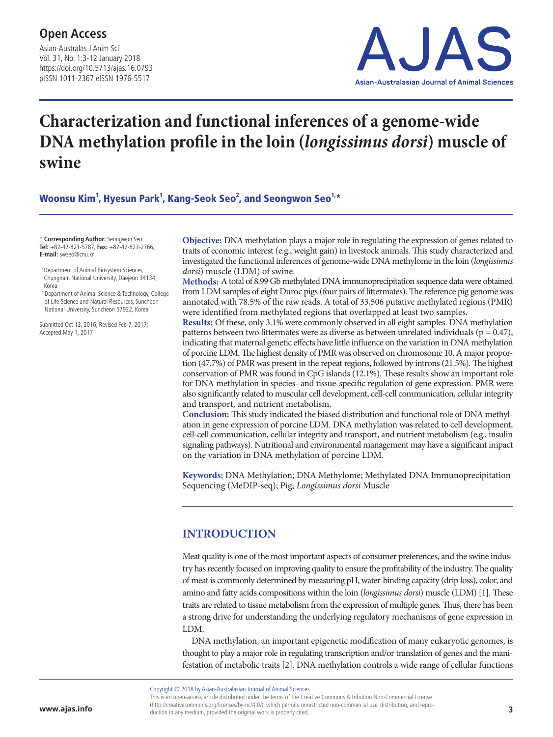Asian-Australas J Anim Sci Vol. 31, No. 1:3-12 January 2018 https://doi.org/10.5713/ajas.16.0793 pISSN 1011-2367 eISSN 1976-5517 **Open Access**



# **Characterization and functional inferences of a genome-wide DNA methylation profile in the loin (***longissimus dorsi***) muscle of swine**

Woonsu Kim $^1$ , Hyesun Park $^1$ , Kang-Seok Seo $^2$ , and Seongwon Seo $^{1,\ast}$ 

\* **Corresponding Author:** Seongwon Seo **Tel:** +82-42-821-5787, **Fax:** +82-42-823-2766, **E-mail:** swseo@cnu.kr

 1 Department of Animal Biosystem Sciences, Chungnam National University, Daejeon 34134, Korea

<sup>2</sup> Department of Animal Science & Technology, College of Life Science and Natural Resources, Suncheon National University, Suncheon 57922, Korea

Submitted Oct 13, 2016; Revised Feb 7, 2017; Accepted May 1, 2017

**Objective:** DNA methylation plays a major role in regulating the expression of genes related to traits of economic interest (e.g., weight gain) in livestock animals. This study characterized and investigated the functional inferences of genome-wide DNA methylome in the loin (*longissimus dorsi*) muscle (LDM) of swine.

**Methods:** A total of 8.99 Gb methylated DNA immunoprecipitation sequence data were obtained from LDM samples of eight Duroc pigs (four pairs of littermates). The reference pig genome was annotated with 78.5% of the raw reads. A total of 33,506 putative methylated regions (PMR) were identified from methylated regions that overlapped at least two samples.

**Results:** Of these, only 3.1% were commonly observed in all eight samples. DNA methylation patterns between two littermates were as diverse as between unrelated individuals ( $p = 0.47$ ), indicating that maternal genetic effects have little influence on the variation in DNA methylation of porcine LDM. The highest density of PMR was observed on chromosome 10. A major proportion (47.7%) of PMR was present in the repeat regions, followed by introns (21.5%). The highest conservation of PMR was found in CpG islands (12.1%). These results show an important role for DNA methylation in species- and tissue-specific regulation of gene expression. PMR were also significantly related to muscular cell development, cell-cell communication, cellular integrity and transport, and nutrient metabolism.

**Conclusion:** This study indicated the biased distribution and functional role of DNA methylation in gene expression of porcine LDM. DNA methylation was related to cell development, cell-cell communication, cellular integrity and transport, and nutrient metabolism (e.g., insulin signaling pathways). Nutritional and environmental management may have a significant impact on the variation in DNA methylation of porcine LDM.

**Keywords:** DNA Methylation; DNA Methylome; Methylated DNA Immunoprecipitation Sequencing (MeDIP-seq); Pig; *Longissimus dorsi* Muscle

## **INTRODUCTION**

Meat quality is one of the most important aspects of consumer preferences, and the swine industry has recently focused on improving quality to ensure the profitability of the industry. The quality of meat is commonly determined by measuring pH, water-binding capacity (drip loss), color, and amino and fatty acids compositions within the loin (*longissimus dorsi*) muscle (LDM) [1]. These traits are related to tissue metabolism from the expression of multiple genes. Thus, there has been a strong drive for understanding the underlying regulatory mechanisms of gene expression in LDM.

DNA methylation, an important epigenetic modification of many eukaryotic genomes, is thought to play a major role in regulating transcription and/or translation of genes and the manifestation of metabolic traits [2]. DNA methylation controls a wide range of cellular functions

Copyright © 2018 by Asian-Australasian Journal of Animal Sciences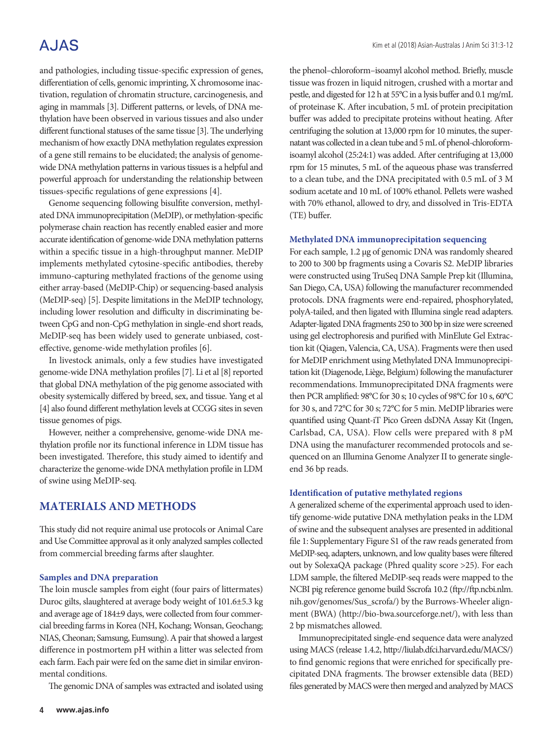## **AJAS**

and pathologies, including tissue-specific expression of genes, differentiation of cells, genomic imprinting, X chromosome inactivation, regulation of chromatin structure, carcinogenesis, and aging in mammals [3]. Different patterns, or levels, of DNA methylation have been observed in various tissues and also under different functional statuses of the same tissue [3]. The underlying mechanism of how exactly DNA methylation regulates expression of a gene still remains to be elucidated; the analysis of genomewide DNA methylation patterns in various tissues is a helpful and powerful approach for understanding the relationship between tissues-specific regulations of gene expressions [4].

Genome sequencing following bisulfite conversion, methylated DNA immunoprecipitation (MeDIP), or methylation-specific polymerase chain reaction has recently enabled easier and more accurate identification of genome-wide DNA methylation patterns within a specific tissue in a high-throughput manner. MeDIP implements methylated cytosine-specific antibodies, thereby immuno-capturing methylated fractions of the genome using either array-based (MeDIP-Chip) or sequencing-based analysis (MeDIP-seq) [5]. Despite limitations in the MeDIP technology, including lower resolution and difficulty in discriminating between CpG and non-CpG methylation in single-end short reads, MeDIP-seq has been widely used to generate unbiased, costeffective, genome-wide methylation profiles [6].

In livestock animals, only a few studies have investigated genome-wide DNA methylation profiles [7]. Li et al [8] reported that global DNA methylation of the pig genome associated with obesity systemically differed by breed, sex, and tissue. Yang et al [4] also found different methylation levels at CCGG sites in seven tissue genomes of pigs.

However, neither a comprehensive, genome-wide DNA methylation profile nor its functional inference in LDM tissue has been investigated. Therefore, this study aimed to identify and characterize the genome-wide DNA methylation profile in LDM of swine using MeDIP-seq.

## **MATERIALS AND METHODS**

This study did not require animal use protocols or Animal Care and Use Committee approval as it only analyzed samples collected from commercial breeding farms after slaughter.

#### **Samples and DNA preparation**

The loin muscle samples from eight (four pairs of littermates) Duroc gilts, slaughtered at average body weight of 101.6±5.3 kg and average age of 184±9 days, were collected from four commercial breeding farms in Korea (NH, Kochang; Wonsan, Geochang; NIAS, Cheonan; Samsung, Eumsung). A pair that showed a largest difference in postmortem pH within a litter was selected from each farm. Each pair were fed on the same diet in similar environmental conditions.

The genomic DNA of samples was extracted and isolated using

the phenol–chloroform–isoamyl alcohol method. Briefly, muscle tissue was frozen in liquid nitrogen, crushed with a mortar and pestle, and digested for 12 h at 55°C in a lysis buffer and 0.1 mg/mL of proteinase K. After incubation, 5 mL of protein precipitation buffer was added to precipitate proteins without heating. After centrifuging the solution at 13,000 rpm for 10 minutes, the supernatant was collected in a clean tube and 5 mL of phenol-chloroformisoamyl alcohol (25:24:1) was added. After centrifuging at 13,000 rpm for 15 minutes, 5 mL of the aqueous phase was transferred to a clean tube, and the DNA precipitated with 0.5 mL of 3 M sodium acetate and 10 mL of 100% ethanol. Pellets were washed with 70% ethanol, allowed to dry, and dissolved in Tris-EDTA (TE) buffer.

#### **Methylated DNA immunoprecipitation sequencing**

For each sample, 1.2 μg of genomic DNA was randomly sheared to 200 to 300 bp fragments using a Covaris S2. MeDIP libraries were constructed using TruSeq DNA Sample Prep kit (Illumina, San Diego, CA, USA) following the manufacturer recommended protocols. DNA fragments were end-repaired, phosphorylated, polyA-tailed, and then ligated with Illumina single read adapters. Adapter-ligated DNA fragments 250 to 300 bp in size were screened using gel electrophoresis and purified with MinElute Gel Extraction kit (Qiagen, Valencia, CA, USA). Fragments were then used for MeDIP enrichment using Methylated DNA Immunoprecipitation kit (Diagenode, Liège, Belgium) following the manufacturer recommendations. Immunoprecipitated DNA fragments were then PCR amplified: 98°C for 30 s; 10 cycles of 98°C for 10 s, 60°C for 30 s, and 72°C for 30 s; 72°C for 5 min. MeDIP libraries were quantified using Quant-iT Pico Green dsDNA Assay Kit (Ingen, Carlsbad, CA, USA). Flow cells were prepared with 8 pM DNA using the manufacturer recommended protocols and sequenced on an Illumina Genome Analyzer II to generate singleend 36 bp reads.

#### **Identification of putative methylated regions**

A generalized scheme of the experimental approach used to identify genome-wide putative DNA methylation peaks in the LDM of swine and the subsequent analyses are presented in additional file 1: Supplementary Figure S1 of the raw reads generated from MeDIP-seq, adapters, unknown, and low quality bases were filtered out by SolexaQA package (Phred quality score >25). For each LDM sample, the filtered MeDIP-seq reads were mapped to the NCBI pig reference genome build Sscrofa 10.2 (ftp://ftp.ncbi.nlm. nih.gov/genomes/Sus\_scrofa/) by the Burrows-Wheeler alignment (BWA) (http://bio-bwa.sourceforge.net/), with less than 2 bp mismatches allowed.

Immunoprecipitated single-end sequence data were analyzed using MACS (release 1.4.2, http://liulab.dfci.harvard.edu/MACS/) to find genomic regions that were enriched for specifically precipitated DNA fragments. The browser extensible data (BED) files generated by MACS were then merged and analyzed by MACS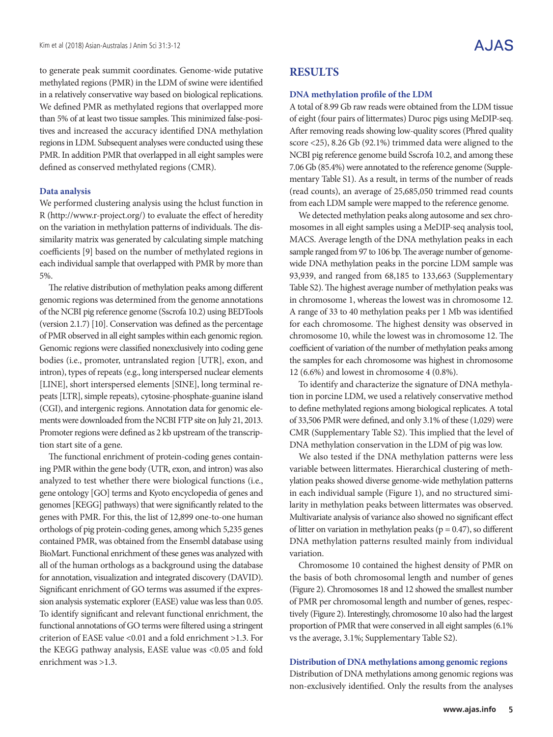to generate peak summit coordinates. Genome-wide putative methylated regions (PMR) in the LDM of swine were identified in a relatively conservative way based on biological replications. We defined PMR as methylated regions that overlapped more than 5% of at least two tissue samples. This minimized false-positives and increased the accuracy identified DNA methylation regions in LDM. Subsequent analyses were conducted using these PMR. In addition PMR that overlapped in all eight samples were defined as conserved methylated regions (CMR).

#### **Data analysis**

We performed clustering analysis using the hclust function in R (http://www.r-project.org/) to evaluate the effect of heredity on the variation in methylation patterns of individuals. The dissimilarity matrix was generated by calculating simple matching coefficients [9] based on the number of methylated regions in each individual sample that overlapped with PMR by more than 5%.

The relative distribution of methylation peaks among different genomic regions was determined from the genome annotations of the NCBI pig reference genome (Sscrofa 10.2) using BEDTools (version 2.1.7) [10]. Conservation was defined as the percentage of PMR observed in all eight samples within each genomic region. Genomic regions were classified nonexclusively into coding gene bodies (i.e., promoter, untranslated region [UTR], exon, and intron), types of repeats (e.g., long interspersed nuclear elements [LINE], short interspersed elements [SINE], long terminal repeats [LTR], simple repeats), cytosine-phosphate-guanine island (CGI), and intergenic regions. Annotation data for genomic elements were downloaded from the NCBI FTP site on July 21, 2013. Promoter regions were defined as 2 kb upstream of the transcription start site of a gene.

The functional enrichment of protein-coding genes containing PMR within the gene body (UTR, exon, and intron) was also analyzed to test whether there were biological functions (i.e., gene ontology [GO] terms and Kyoto encyclopedia of genes and genomes [KEGG] pathways) that were significantly related to the genes with PMR. For this, the list of 12,899 one-to-one human orthologs of pig protein-coding genes, among which 5,235 genes contained PMR, was obtained from the Ensembl database using BioMart. Functional enrichment of these genes was analyzed with all of the human orthologs as a background using the database for annotation, visualization and integrated discovery (DAVID). Significant enrichment of GO terms was assumed if the expression analysis systematic explorer (EASE) value was less than 0.05. To identify significant and relevant functional enrichment, the functional annotations of GO terms were filtered using a stringent criterion of EASE value <0.01 and a fold enrichment >1.3. For the KEGG pathway analysis, EASE value was <0.05 and fold enrichment was >1.3.

### **RESULTS**

#### **DNA methylation profile of the LDM**

A total of 8.99 Gb raw reads were obtained from the LDM tissue of eight (four pairs of littermates) Duroc pigs using MeDIP-seq. After removing reads showing low-quality scores (Phred quality score <25), 8.26 Gb (92.1%) trimmed data were aligned to the NCBI pig reference genome build Sscrofa 10.2, and among these 7.06 Gb (85.4%) were annotated to the reference genome (Supplementary Table S1). As a result, in terms of the number of reads (read counts), an average of 25,685,050 trimmed read counts from each LDM sample were mapped to the reference genome.

We detected methylation peaks along autosome and sex chromosomes in all eight samples using a MeDIP-seq analysis tool, MACS. Average length of the DNA methylation peaks in each sample ranged from 97 to 106 bp. The average number of genomewide DNA methylation peaks in the porcine LDM sample was 93,939, and ranged from 68,185 to 133,663 (Supplementary Table S2). The highest average number of methylation peaks was in chromosome 1, whereas the lowest was in chromosome 12. A range of 33 to 40 methylation peaks per 1 Mb was identified for each chromosome. The highest density was observed in chromosome 10, while the lowest was in chromosome 12. The coefficient of variation of the number of methylation peaks among the samples for each chromosome was highest in chromosome 12 (6.6%) and lowest in chromosome 4 (0.8%).

To identify and characterize the signature of DNA methylation in porcine LDM, we used a relatively conservative method to define methylated regions among biological replicates. A total of 33,506 PMR were defined, and only 3.1% of these (1,029) were CMR (Supplementary Table S2). This implied that the level of DNA methylation conservation in the LDM of pig was low.

We also tested if the DNA methylation patterns were less variable between littermates. Hierarchical clustering of methylation peaks showed diverse genome-wide methylation patterns in each individual sample (Figure 1), and no structured similarity in methylation peaks between littermates was observed. Multivariate analysis of variance also showed no significant effect of litter on variation in methylation peaks ( $p = 0.47$ ), so different DNA methylation patterns resulted mainly from individual variation.

Chromosome 10 contained the highest density of PMR on the basis of both chromosomal length and number of genes (Figure 2). Chromosomes 18 and 12 showed the smallest number of PMR per chromosomal length and number of genes, respectively (Figure 2). Interestingly, chromosome 10 also had the largest proportion of PMR that were conserved in all eight samples (6.1% vs the average, 3.1%; Supplementary Table S2).

#### **Distribution of DNA methylations among genomic regions**

Distribution of DNA methylations among genomic regions was non-exclusively identified. Only the results from the analyses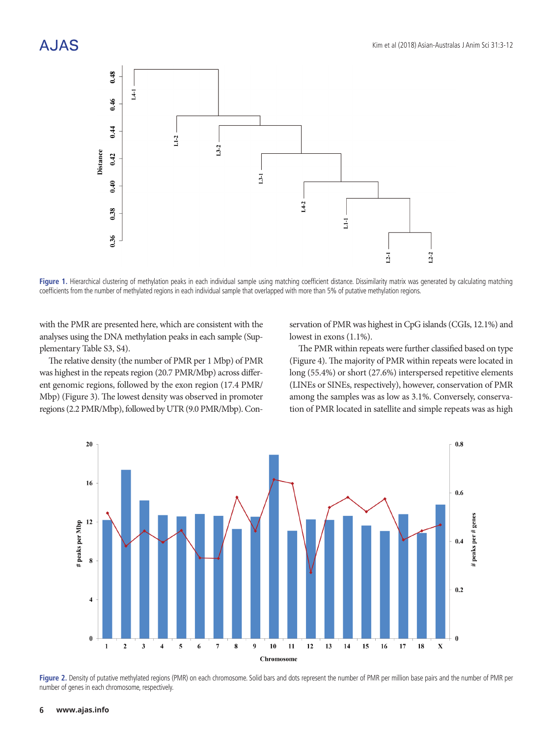

Figure 1. Hierarchical clustering of methylation peaks in each individual sample using matching coefficient distance. Dissimilarity matrix was generated by calculating matching coefficients from the number of methylated regions in each individual sample that overlapped with more than 5% of putative methylation regions.

with the PMR are presented here, which are consistent with the analyses using the DNA methylation peaks in each sample (Supplementary Table S3, S4).

The relative density (the number of PMR per 1 Mbp) of PMR was highest in the repeats region (20.7 PMR/Mbp) across different genomic regions, followed by the exon region (17.4 PMR/ Mbp) (Figure 3). The lowest density was observed in promoter regions (2.2 PMR/Mbp), followed by UTR (9.0 PMR/Mbp). Conservation of PMR was highest in CpG islands (CGIs, 12.1%) and lowest in exons (1.1%).

The PMR within repeats were further classified based on type (Figure 4). The majority of PMR within repeats were located in long (55.4%) or short (27.6%) interspersed repetitive elements (LINEs or SINEs, respectively), however, conservation of PMR among the samples was as low as 3.1%. Conversely, conservation of PMR located in satellite and simple repeats was as high



**Figure 2.** Density of putative methylated regions (PMR) on each chromosome. Solid bars and dots represent the number of PMR per million base pairs and the number of PMR per number of genes in each chromosome, respectively.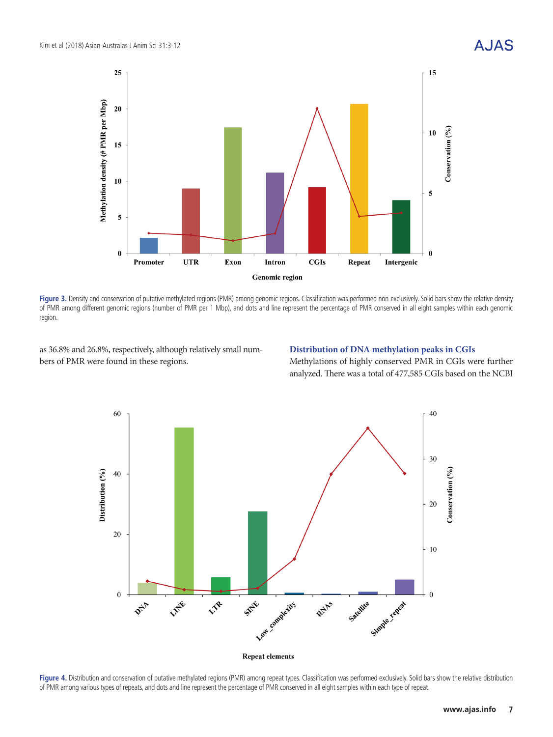

Figure 3. Density and conservation of putative methylated regions (PMR) among genomic regions. Classification was performed non-exclusively. Solid bars show the relative density of PMR among different genomic regions (number of PMR per 1 Mbp), and dots and line represent the percentage of PMR conserved in all eight samples within each genomic region.

as 36.8% and 26.8%, respectively, although relatively small numbers of PMR were found in these regions.

#### **Distribution of DNA methylation peaks in CGIs**

Methylations of highly conserved PMR in CGIs were further analyzed. There was a total of 477,585 CGIs based on the NCBI



Figure 4. Distribution and conservation of putative methylated regions (PMR) among repeat types. Classification was performed exclusively. Solid bars show the relative distribution of PMR among various types of repeats, and dots and line represent the percentage of PMR conserved in all eight samples within each type of repeat.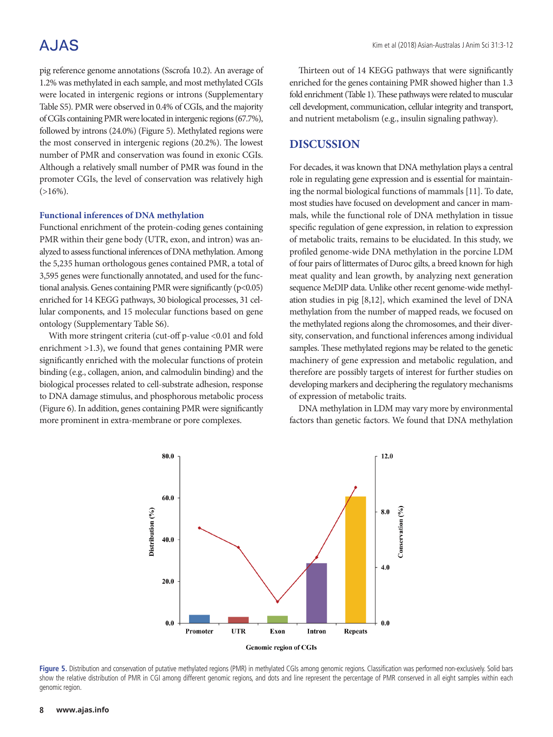## A.JAS

pig reference genome annotations (Sscrofa 10.2). An average of 1.2% was methylated in each sample, and most methylated CGIs were located in intergenic regions or introns (Supplementary Table S5). PMR were observed in 0.4% of CGIs, and the majority of CGIs containing PMR were located in intergenic regions (67.7%), followed by introns (24.0%) (Figure 5). Methylated regions were the most conserved in intergenic regions (20.2%). The lowest number of PMR and conservation was found in exonic CGIs. Although a relatively small number of PMR was found in the promoter CGIs, the level of conservation was relatively high  $(>16\%)$ .

#### **Functional inferences of DNA methylation**

Functional enrichment of the protein-coding genes containing PMR within their gene body (UTR, exon, and intron) was analyzed to assess functional inferences of DNA methylation. Among the 5,235 human orthologous genes contained PMR, a total of 3,595 genes were functionally annotated, and used for the functional analysis. Genes containing PMR were significantly (p<0.05) enriched for 14 KEGG pathways, 30 biological processes, 31 cellular components, and 15 molecular functions based on gene ontology (Supplementary Table S6).

With more stringent criteria (cut-off p-value <0.01 and fold enrichment >1.3), we found that genes containing PMR were significantly enriched with the molecular functions of protein binding (e.g., collagen, anion, and calmodulin binding) and the biological processes related to cell-substrate adhesion, response to DNA damage stimulus, and phosphorous metabolic process (Figure 6). In addition, genes containing PMR were significantly more prominent in extra-membrane or pore complexes.

Thirteen out of 14 KEGG pathways that were significantly enriched for the genes containing PMR showed higher than 1.3 fold enrichment (Table 1). These pathways were related to muscular cell development, communication, cellular integrity and transport, and nutrient metabolism (e.g., insulin signaling pathway).

### **DISCUSSION**

For decades, it was known that DNA methylation plays a central role in regulating gene expression and is essential for maintaining the normal biological functions of mammals [11]. To date, most studies have focused on development and cancer in mammals, while the functional role of DNA methylation in tissue specific regulation of gene expression, in relation to expression of metabolic traits, remains to be elucidated. In this study, we profiled genome-wide DNA methylation in the porcine LDM of four pairs of littermates of Duroc gilts, a breed known for high meat quality and lean growth, by analyzing next generation sequence MeDIP data. Unlike other recent genome-wide methylation studies in pig [8,12], which examined the level of DNA methylation from the number of mapped reads, we focused on the methylated regions along the chromosomes, and their diversity, conservation, and functional inferences among individual samples. These methylated regions may be related to the genetic machinery of gene expression and metabolic regulation, and therefore are possibly targets of interest for further studies on developing markers and deciphering the regulatory mechanisms of expression of metabolic traits.

DNA methylation in LDM may vary more by environmental factors than genetic factors. We found that DNA methylation



Figure 5. Distribution and conservation of putative methylated regions (PMR) in methylated CGIs among genomic regions. Classification was performed non-exclusively. Solid bars show the relative distribution of PMR in CGI among different genomic regions, and dots and line represent the percentage of PMR conserved in all eight samples within each genomic region.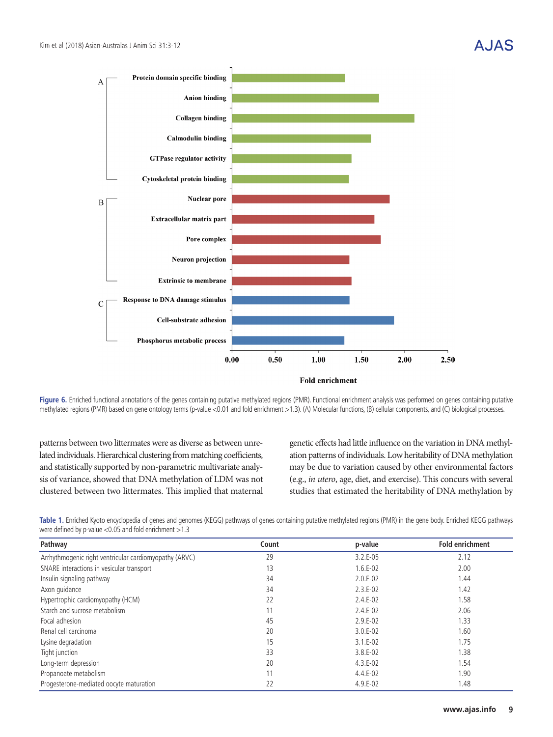$\overline{A}$ 

Protein domain specific binding



 $\Delta$ .  $\Delta$ 



**Figure 6.** Enriched functional annotations of the genes containing putative methylated regions (PMR). Functional enrichment analysis was performed on genes containing putative methylated regions (PMR) based on gene ontology terms (p-value <0.01 and fold enrichment >1.3). (A) Molecular functions, (B) cellular components, and (C) biological processes.

patterns between two littermates were as diverse as between unrelated individuals. Hierarchical clustering from matching coefficients, and statistically supported by non-parametric multivariate analysis of variance, showed that DNA methylation of LDM was not clustered between two littermates. This implied that maternal genetic effects had little influence on the variation in DNA methylation patterns of individuals. Low heritability of DNA methylation may be due to variation caused by other environmental factors (e.g., *in utero*, age, diet, and exercise). This concurs with several studies that estimated the heritability of DNA methylation by

**Table 1.** Enriched Kyoto encyclopedia of genes and genomes (KEGG) pathways of genes containing putative methylated regions (PMR) in the gene body. Enriched KEGG pathways were defined by p-value <0.05 and fold enrichment >1.3

| Pathway                                                | Count | p-value    | <b>Fold enrichment</b> |
|--------------------------------------------------------|-------|------------|------------------------|
| Arrhythmogenic right ventricular cardiomyopathy (ARVC) | 29    | $3.2.E-05$ | 2.12                   |
| SNARE interactions in vesicular transport              | 13    | $1.6.E-02$ | 2.00                   |
| Insulin signaling pathway                              | 34    | $2.0.E-02$ | 1.44                   |
| Axon quidance                                          | 34    | $2.3.E-02$ | 1.42                   |
| Hypertrophic cardiomyopathy (HCM)                      | 22    | $2.4.E-02$ | 1.58                   |
| Starch and sucrose metabolism                          | 11    | $2.4.E-02$ | 2.06                   |
| Focal adhesion                                         | 45    | $2.9.E-02$ | 1.33                   |
| Renal cell carcinoma                                   | 20    | $3.0.E-02$ | 1.60                   |
| Lysine degradation                                     | 15    | $3.1.E-02$ | 1.75                   |
| Tight junction                                         | 33    | $3.8.E-02$ | 1.38                   |
| Long-term depression                                   | 20    | $4.3.E-02$ | 1.54                   |
| Propanoate metabolism                                  | 11    | $4.4.E-02$ | 1.90                   |
| Progesterone-mediated oocyte maturation                | 22    | $4.9.E-02$ | 1.48                   |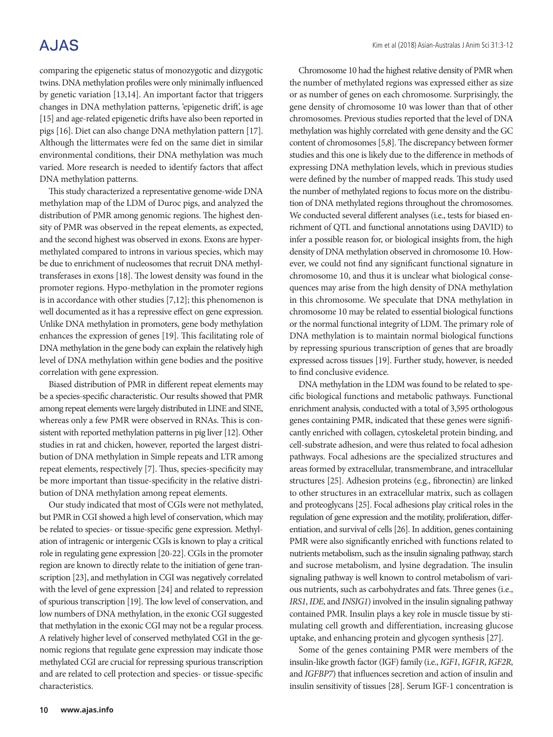## **AJAS**

comparing the epigenetic status of monozygotic and dizygotic twins. DNA methylation profiles were only minimally influenced by genetic variation [13,14]. An important factor that triggers changes in DNA methylation patterns, 'epigenetic drift', is age [15] and age-related epigenetic drifts have also been reported in pigs [16]. Diet can also change DNA methylation pattern [17]. Although the littermates were fed on the same diet in similar environmental conditions, their DNA methylation was much varied. More research is needed to identify factors that affect DNA methylation patterns.

This study characterized a representative genome-wide DNA methylation map of the LDM of Duroc pigs, and analyzed the distribution of PMR among genomic regions. The highest density of PMR was observed in the repeat elements, as expected, and the second highest was observed in exons. Exons are hypermethylated compared to introns in various species, which may be due to enrichment of nucleosomes that recruit DNA methyltransferases in exons [18]. The lowest density was found in the promoter regions. Hypo-methylation in the promoter regions is in accordance with other studies [7,12]; this phenomenon is well documented as it has a repressive effect on gene expression. Unlike DNA methylation in promoters, gene body methylation enhances the expression of genes [19]. This facilitating role of DNA methylation in the gene body can explain the relatively high level of DNA methylation within gene bodies and the positive correlation with gene expression.

Biased distribution of PMR in different repeat elements may be a species-specific characteristic. Our results showed that PMR among repeat elements were largely distributed in LINE and SINE, whereas only a few PMR were observed in RNAs. This is consistent with reported methylation patterns in pig liver [12]. Other studies in rat and chicken, however, reported the largest distribution of DNA methylation in Simple repeats and LTR among repeat elements, respectively [7]. Thus, species-specificity may be more important than tissue-specificity in the relative distribution of DNA methylation among repeat elements.

Our study indicated that most of CGIs were not methylated, but PMR in CGI showed a high level of conservation, which may be related to species- or tissue-specific gene expression. Methylation of intragenic or intergenic CGIs is known to play a critical role in regulating gene expression [20-22]. CGIs in the promoter region are known to directly relate to the initiation of gene transcription [23], and methylation in CGI was negatively correlated with the level of gene expression [24] and related to repression of spurious transcription [19]. The low level of conservation, and low numbers of DNA methylation, in the exonic CGI suggested that methylation in the exonic CGI may not be a regular process. A relatively higher level of conserved methylated CGI in the genomic regions that regulate gene expression may indicate those methylated CGI are crucial for repressing spurious transcription and are related to cell protection and species- or tissue-specific characteristics.

Chromosome 10 had the highest relative density of PMR when the number of methylated regions was expressed either as size or as number of genes on each chromosome. Surprisingly, the gene density of chromosome 10 was lower than that of other chromosomes. Previous studies reported that the level of DNA methylation was highly correlated with gene density and the GC content of chromosomes [5,8]. The discrepancy between former studies and this one is likely due to the difference in methods of expressing DNA methylation levels, which in previous studies were defined by the number of mapped reads. This study used the number of methylated regions to focus more on the distribution of DNA methylated regions throughout the chromosomes. We conducted several different analyses (i.e., tests for biased enrichment of QTL and functional annotations using DAVID) to infer a possible reason for, or biological insights from, the high density of DNA methylation observed in chromosome 10. However, we could not find any significant functional signature in chromosome 10, and thus it is unclear what biological consequences may arise from the high density of DNA methylation in this chromosome. We speculate that DNA methylation in chromosome 10 may be related to essential biological functions or the normal functional integrity of LDM. The primary role of DNA methylation is to maintain normal biological functions by repressing spurious transcription of genes that are broadly expressed across tissues [19]. Further study, however, is needed to find conclusive evidence.

DNA methylation in the LDM was found to be related to specific biological functions and metabolic pathways. Functional enrichment analysis, conducted with a total of 3,595 orthologous genes containing PMR, indicated that these genes were significantly enriched with collagen, cytoskeletal protein binding, and cell-substrate adhesion, and were thus related to focal adhesion pathways. Focal adhesions are the specialized structures and areas formed by extracellular, transmembrane, and intracellular structures [25]. Adhesion proteins (e.g., fibronectin) are linked to other structures in an extracellular matrix, such as collagen and proteoglycans [25]. Focal adhesions play critical roles in the regulation of gene expression and the motility, proliferation, differentiation, and survival of cells [26]. In addition, genes containing PMR were also significantly enriched with functions related to nutrients metabolism, such as the insulin signaling pathway, starch and sucrose metabolism, and lysine degradation. The insulin signaling pathway is well known to control metabolism of various nutrients, such as carbohydrates and fats. Three genes (i.e., *IRS1*, *IDE*, and *INSIG1*) involved in the insulin signaling pathway contained PMR. Insulin plays a key role in muscle tissue by stimulating cell growth and differentiation, increasing glucose uptake, and enhancing protein and glycogen synthesis [27].

Some of the genes containing PMR were members of the insulin-like growth factor (IGF) family (i.e., *IGF1*, *IGF1R*, *IGF2R*, and *IGFBP7*) that influences secretion and action of insulin and insulin sensitivity of tissues [28]. Serum IGF-1 concentration is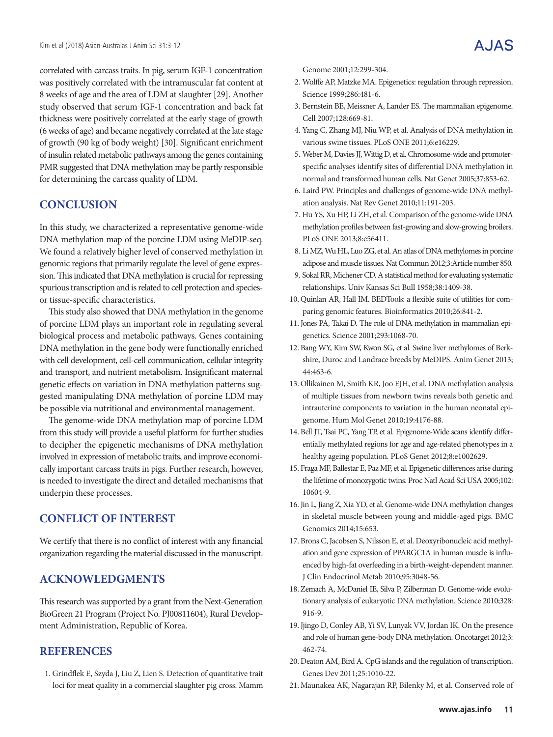correlated with carcass traits. In pig, serum IGF-1 concentration was positively correlated with the intramuscular fat content at 8 weeks of age and the area of LDM at slaughter [29]. Another study observed that serum IGF-1 concentration and back fat thickness were positively correlated at the early stage of growth (6 weeks of age) and became negatively correlated at the late stage of growth (90 kg of body weight) [30]. Significant enrichment of insulin related metabolic pathways among the genes containing PMR suggested that DNA methylation may be partly responsible for determining the carcass quality of LDM.

## **CONCLUSION**

In this study, we characterized a representative genome-wide DNA methylation map of the porcine LDM using MeDIP-seq. We found a relatively higher level of conserved methylation in genomic regions that primarily regulate the level of gene expression. This indicated that DNA methylation is crucial for repressing spurious transcription and is related to cell protection and speciesor tissue-specific characteristics.

This study also showed that DNA methylation in the genome of porcine LDM plays an important role in regulating several biological process and metabolic pathways. Genes containing DNA methylation in the gene body were functionally enriched with cell development, cell-cell communication, cellular integrity and transport, and nutrient metabolism. Insignificant maternal genetic effects on variation in DNA methylation patterns suggested manipulating DNA methylation of porcine LDM may be possible via nutritional and environmental management.

The genome-wide DNA methylation map of porcine LDM from this study will provide a useful platform for further studies to decipher the epigenetic mechanisms of DNA methylation involved in expression of metabolic traits, and improve economically important carcass traits in pigs. Further research, however, is needed to investigate the direct and detailed mechanisms that underpin these processes.

## **CONFLICT OF INTEREST**

We certify that there is no conflict of interest with any financial organization regarding the material discussed in the manuscript.

### **ACKNOWLEDGMENTS**

This research was supported by a grant from the Next-Generation BioGreen 21 Program (Project No. PJ00811604), Rural Development Administration, Republic of Korea.

#### **REFERENCES**

1. Grindflek E, Szyda J, Liu Z, Lien S. Detection of quantitative trait loci for meat quality in a commercial slaughter pig cross. Mamm Genome 2001;12:299-304.

- 2. Wolffe AP, Matzke MA. Epigenetics: regulation through repression. Science 1999;286:481-6.
- 3. Bernstein BE, Meissner A, Lander ES. The mammalian epigenome. Cell 2007;128:669-81.
- 4. Yang C, Zhang MJ, Niu WP, et al. Analysis of DNA methylation in various swine tissues. PLoS ONE 2011;6:e16229.
- 5. Weber M, Davies JJ, Wittig D, et al. Chromosome-wide and promoterspecific analyses identify sites of differential DNA methylation in normal and transformed human cells. Nat Genet 2005;37:853-62.
- 6. Laird PW. Principles and challenges of genome-wide DNA methylation analysis. Nat Rev Genet 2010;11:191-203.
- 7. Hu YS, Xu HP, Li ZH, et al. Comparison of the genome-wide DNA methylation profiles between fast-growing and slow-growing broilers. PLoS ONE 2013;8:e56411.
- 8. Li MZ, Wu HL, Luo ZG, et al. An atlas of DNA methylomes in porcine adipose and muscle tissues. Nat Commun 2012;3:Article number 850.
- 9. Sokal RR, Michener CD. A statistical method for evaluating systematic relationships. Univ Kansas Sci Bull 1958;38:1409-38.
- 10. Quinlan AR, Hall IM. BEDTools: a flexible suite of utilities for comparing genomic features. Bioinformatics 2010;26:841-2.
- 11. Jones PA, Takai D. The role of DNA methylation in mammalian epigenetics. Science 2001;293:1068-70.
- 12. Bang WY, Kim SW, Kwon SG, et al. Swine liver methylomes of Berkshire, Duroc and Landrace breeds by MeDIPS. Anim Genet 2013; 44:463-6.
- 13. Ollikainen M, Smith KR, Joo EJH, et al. DNA methylation analysis of multiple tissues from newborn twins reveals both genetic and intrauterine components to variation in the human neonatal epigenome. Hum Mol Genet 2010;19:4176-88.
- 14. Bell JT, Tsai PC, Yang TP, et al. Epigenome-Wide scans identify differentially methylated regions for age and age-related phenotypes in a healthy ageing population. PLoS Genet 2012;8:e1002629.
- 15. Fraga MF, Ballestar E, Paz MF, et al. Epigenetic differences arise during the lifetime of monozygotic twins. Proc Natl Acad Sci USA 2005;102: 10604-9.
- 16. Jin L, Jiang Z, Xia YD, et al. Genome-wide DNA methylation changes in skeletal muscle between young and middle-aged pigs. BMC Genomics 2014;15:653.
- 17. Brons C, Jacobsen S, Nilsson E, et al. Deoxyribonucleic acid methylation and gene expression of PPARGC1A in human muscle is influenced by high-fat overfeeding in a birth-weight-dependent manner. J Clin Endocrinol Metab 2010;95:3048-56.
- 18. Zemach A, McDaniel IE, Silva P, Zilberman D. Genome-wide evolutionary analysis of eukaryotic DNA methylation. Science 2010;328: 916-9.
- 19. Jjingo D, Conley AB, Yi SV, Lunyak VV, Jordan IK. On the presence and role of human gene-body DNA methylation. Oncotarget 2012;3: 462-74.
- 20. Deaton AM, Bird A. CpG islands and the regulation of transcription. Genes Dev 2011;25:1010-22.
- 21. Maunakea AK, Nagarajan RP, Bilenky M, et al. Conserved role of